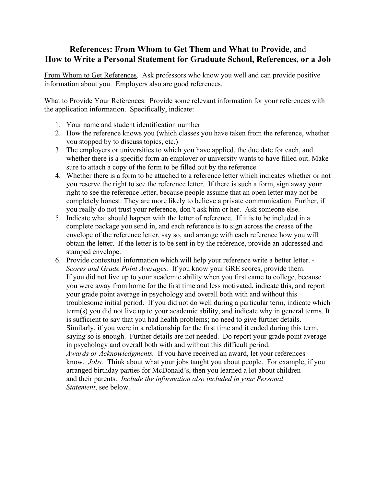## **References: From Whom to Get Them and What to Provide**, and **How to Write a Personal Statement for Graduate School, References, or a Job**

From Whom to Get References. Ask professors who know you well and can provide positive information about you. Employers also are good references.

What to Provide Your References. Provide some relevant information for your references with the application information. Specifically, indicate:

- 1. Your name and student identification number
- 2. How the reference knows you (which classes you have taken from the reference, whether you stopped by to discuss topics, etc.)
- 3. The employers or universities to which you have applied, the due date for each, and whether there is a specific form an employer or university wants to have filled out. Make sure to attach a copy of the form to be filled out by the reference.
- 4. Whether there is a form to be attached to a reference letter which indicates whether or not you reserve the right to see the reference letter. If there is such a form, sign away your right to see the reference letter, because people assume that an open letter may not be completely honest. They are more likely to believe a private communication. Further, if you really do not trust your reference, don't ask him or her. Ask someone else.
- 5. Indicate what should happen with the letter of reference. If it is to be included in a complete package you send in, and each reference is to sign across the crease of the envelope of the reference letter, say so, and arrange with each reference how you will obtain the letter. If the letter is to be sent in by the reference, provide an addressed and stamped envelope.
- 6. Provide contextual information which will help your reference write a better letter. *Scores and Grade Point Averages.* If you know your GRE scores, provide them. If you did not live up to your academic ability when you first came to college, because you were away from home for the first time and less motivated, indicate this, and report your grade point average in psychology and overall both with and without this troublesome initial period. If you did not do well during a particular term, indicate which term(s) you did not live up to your academic ability, and indicate why in general terms. It is sufficient to say that you had health problems; no need to give further details. Similarly, if you were in a relationship for the first time and it ended during this term, saying so is enough. Further details are not needed. Do report your grade point average in psychology and overall both with and without this difficult period. *Awards or Acknowledgments.* If you have received an award, let your references know. *Jobs.* Think about what your jobs taught you about people. For example, if you arranged birthday parties for McDonald's, then you learned a lot about children and their parents. *Include the information also included in your Personal Statement*, see below.